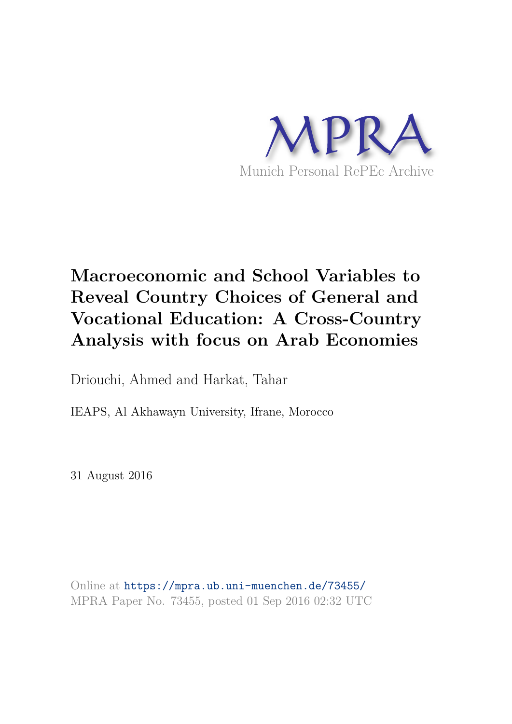

# **Macroeconomic and School Variables to Reveal Country Choices of General and Vocational Education: A Cross-Country Analysis with focus on Arab Economies**

Driouchi, Ahmed and Harkat, Tahar

IEAPS, Al Akhawayn University, Ifrane, Morocco

31 August 2016

Online at https://mpra.ub.uni-muenchen.de/73455/ MPRA Paper No. 73455, posted 01 Sep 2016 02:32 UTC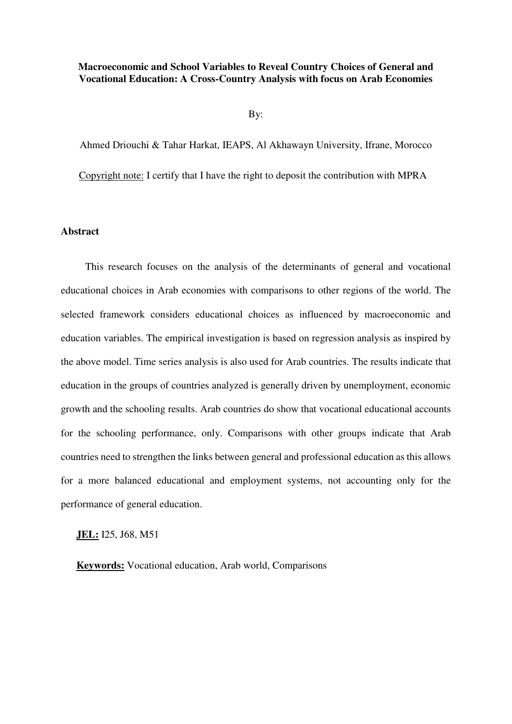# **Macroeconomic and School Variables to Reveal Country Choices of General and Vocational Education: A Cross-Country Analysis with focus on Arab Economies**

By:

Ahmed Driouchi & Tahar Harkat, IEAPS, Al Akhawayn University, Ifrane, Morocco

Copyright note: I certify that I have the right to deposit the contribution with MPRA

#### **Abstract**

This research focuses on the analysis of the determinants of general and vocational educational choices in Arab economies with comparisons to other regions of the world. The selected framework considers educational choices as influenced by macroeconomic and education variables. The empirical investigation is based on regression analysis as inspired by the above model. Time series analysis is also used for Arab countries. The results indicate that education in the groups of countries analyzed is generally driven by unemployment, economic growth and the schooling results. Arab countries do show that vocational educational accounts for the schooling performance, only. Comparisons with other groups indicate that Arab countries need to strengthen the links between general and professional education as this allows for a more balanced educational and employment systems, not accounting only for the performance of general education.

**JEL:** I25, J68, M51

**Keywords:** Vocational education, Arab world, Comparisons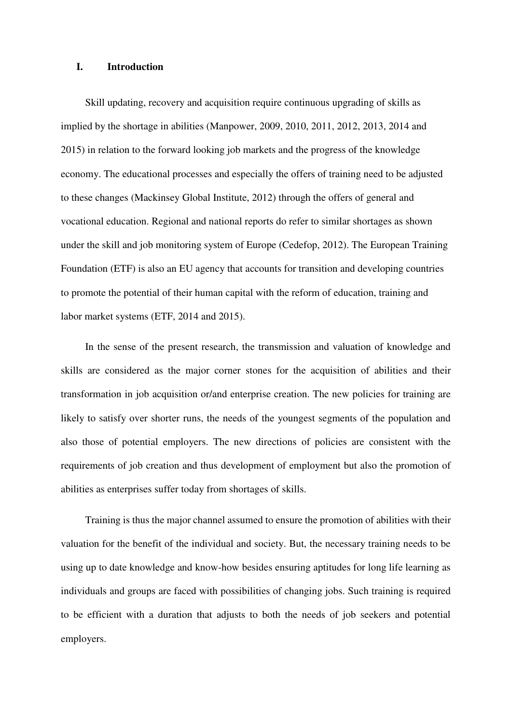#### **I. Introduction**

Skill updating, recovery and acquisition require continuous upgrading of skills as implied by the shortage in abilities (Manpower, 2009, 2010, 2011, 2012, 2013, 2014 and 2015) in relation to the forward looking job markets and the progress of the knowledge economy. The educational processes and especially the offers of training need to be adjusted to these changes (Mackinsey Global Institute, 2012) through the offers of general and vocational education. Regional and national reports do refer to similar shortages as shown under the skill and job monitoring system of Europe (Cedefop, 2012). The European Training Foundation (ETF) is also an EU agency that accounts for transition and developing countries to promote the potential of their human capital with the reform of education, training and labor market systems (ETF, 2014 and 2015).

In the sense of the present research, the transmission and valuation of knowledge and skills are considered as the major corner stones for the acquisition of abilities and their transformation in job acquisition or/and enterprise creation. The new policies for training are likely to satisfy over shorter runs, the needs of the youngest segments of the population and also those of potential employers. The new directions of policies are consistent with the requirements of job creation and thus development of employment but also the promotion of abilities as enterprises suffer today from shortages of skills.

Training is thus the major channel assumed to ensure the promotion of abilities with their valuation for the benefit of the individual and society. But, the necessary training needs to be using up to date knowledge and know-how besides ensuring aptitudes for long life learning as individuals and groups are faced with possibilities of changing jobs. Such training is required to be efficient with a duration that adjusts to both the needs of job seekers and potential employers.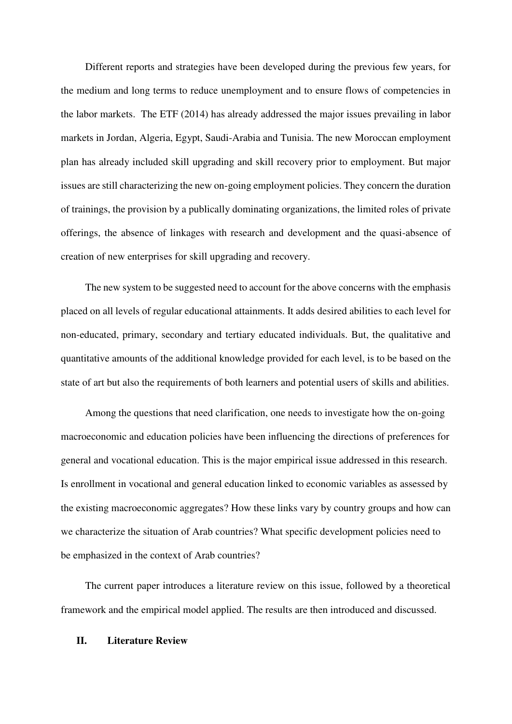Different reports and strategies have been developed during the previous few years, for the medium and long terms to reduce unemployment and to ensure flows of competencies in the labor markets. The ETF (2014) has already addressed the major issues prevailing in labor markets in Jordan, Algeria, Egypt, Saudi-Arabia and Tunisia. The new Moroccan employment plan has already included skill upgrading and skill recovery prior to employment. But major issues are still characterizing the new on-going employment policies. They concern the duration of trainings, the provision by a publically dominating organizations, the limited roles of private offerings, the absence of linkages with research and development and the quasi-absence of creation of new enterprises for skill upgrading and recovery.

The new system to be suggested need to account for the above concerns with the emphasis placed on all levels of regular educational attainments. It adds desired abilities to each level for non-educated, primary, secondary and tertiary educated individuals. But, the qualitative and quantitative amounts of the additional knowledge provided for each level, is to be based on the state of art but also the requirements of both learners and potential users of skills and abilities.

Among the questions that need clarification, one needs to investigate how the on-going macroeconomic and education policies have been influencing the directions of preferences for general and vocational education. This is the major empirical issue addressed in this research. Is enrollment in vocational and general education linked to economic variables as assessed by the existing macroeconomic aggregates? How these links vary by country groups and how can we characterize the situation of Arab countries? What specific development policies need to be emphasized in the context of Arab countries?

The current paper introduces a literature review on this issue, followed by a theoretical framework and the empirical model applied. The results are then introduced and discussed.

## **II. Literature Review**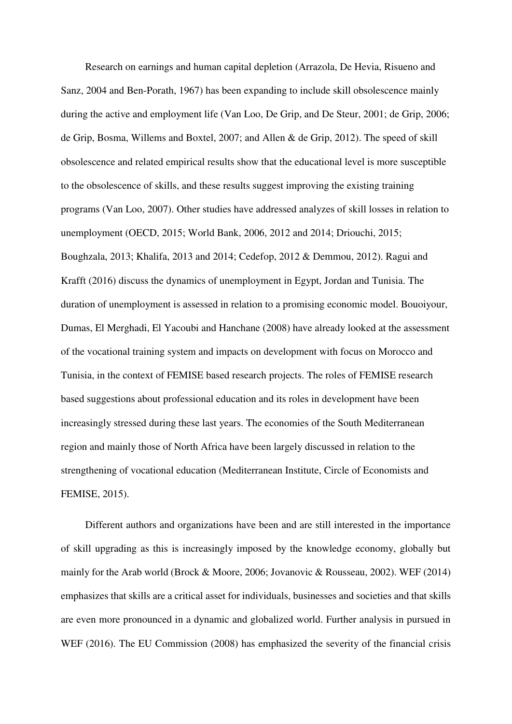Research on earnings and human capital depletion (Arrazola, De Hevia, Risueno and Sanz, 2004 and Ben-Porath, 1967) has been expanding to include skill obsolescence mainly during the active and employment life (Van Loo, De Grip, and De Steur, 2001; de Grip, 2006; de Grip, Bosma, Willems and Boxtel, 2007; and Allen & de Grip, 2012). The speed of skill obsolescence and related empirical results show that the educational level is more susceptible to the obsolescence of skills, and these results suggest improving the existing training programs (Van Loo, 2007). Other studies have addressed analyzes of skill losses in relation to unemployment (OECD, 2015; World Bank, 2006, 2012 and 2014; Driouchi, 2015; Boughzala, 2013; Khalifa, 2013 and 2014; Cedefop, 2012 & Demmou, 2012). Ragui and Krafft (2016) discuss the dynamics of unemployment in Egypt, Jordan and Tunisia. The duration of unemployment is assessed in relation to a promising economic model. Bouoiyour, Dumas, El Merghadi, El Yacoubi and Hanchane (2008) have already looked at the assessment of the vocational training system and impacts on development with focus on Morocco and Tunisia, in the context of FEMISE based research projects. The roles of FEMISE research based suggestions about professional education and its roles in development have been increasingly stressed during these last years. The economies of the South Mediterranean region and mainly those of North Africa have been largely discussed in relation to the strengthening of vocational education (Mediterranean Institute, Circle of Economists and FEMISE, 2015).

Different authors and organizations have been and are still interested in the importance of skill upgrading as this is increasingly imposed by the knowledge economy, globally but mainly for the Arab world (Brock & Moore, 2006; Jovanovic & Rousseau, 2002). WEF (2014) emphasizes that skills are a critical asset for individuals, businesses and societies and that skills are even more pronounced in a dynamic and globalized world. Further analysis in pursued in WEF (2016). The EU Commission (2008) has emphasized the severity of the financial crisis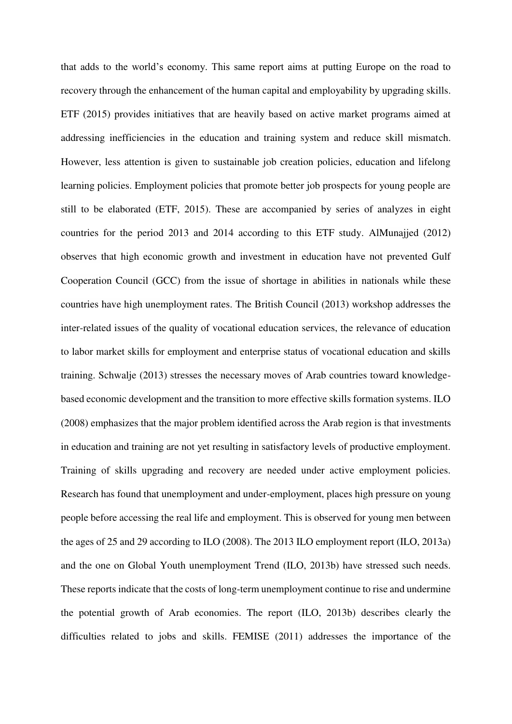that adds to the world's economy. This same report aims at putting Europe on the road to recovery through the enhancement of the human capital and employability by upgrading skills. ETF (2015) provides initiatives that are heavily based on active market programs aimed at addressing inefficiencies in the education and training system and reduce skill mismatch. However, less attention is given to sustainable job creation policies, education and lifelong learning policies. Employment policies that promote better job prospects for young people are still to be elaborated (ETF, 2015). These are accompanied by series of analyzes in eight countries for the period 2013 and 2014 according to this ETF study. AlMunajjed (2012) observes that high economic growth and investment in education have not prevented Gulf Cooperation Council (GCC) from the issue of shortage in abilities in nationals while these countries have high unemployment rates. The British Council (2013) workshop addresses the inter-related issues of the quality of vocational education services, the relevance of education to labor market skills for employment and enterprise status of vocational education and skills training. Schwalje (2013) stresses the necessary moves of Arab countries toward knowledgebased economic development and the transition to more effective skills formation systems. ILO (2008) emphasizes that the major problem identified across the Arab region is that investments in education and training are not yet resulting in satisfactory levels of productive employment. Training of skills upgrading and recovery are needed under active employment policies. Research has found that unemployment and under-employment, places high pressure on young people before accessing the real life and employment. This is observed for young men between the ages of 25 and 29 according to ILO (2008). The 2013 ILO employment report (ILO, 2013a) and the one on Global Youth unemployment Trend (ILO, 2013b) have stressed such needs. These reports indicate that the costs of long-term unemployment continue to rise and undermine the potential growth of Arab economies. The report (ILO, 2013b) describes clearly the difficulties related to jobs and skills. FEMISE (2011) addresses the importance of the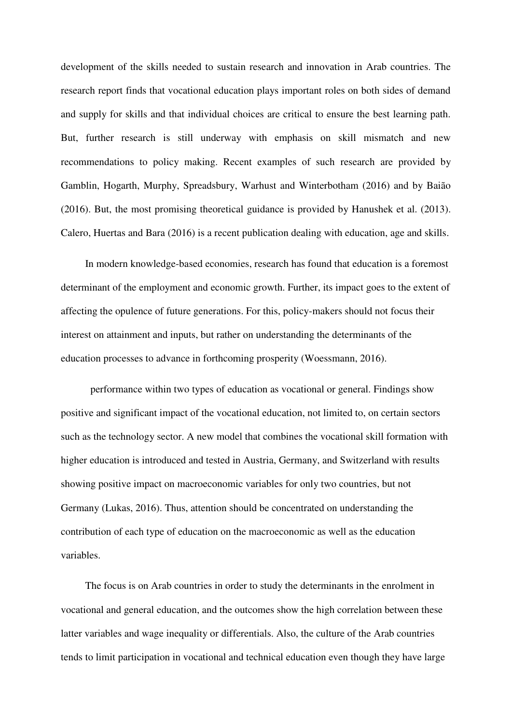development of the skills needed to sustain research and innovation in Arab countries. The research report finds that vocational education plays important roles on both sides of demand and supply for skills and that individual choices are critical to ensure the best learning path. But, further research is still underway with emphasis on skill mismatch and new recommendations to policy making. Recent examples of such research are provided by Gamblin, Hogarth, Murphy, Spreadsbury, Warhust and Winterbotham (2016) and by Baião (2016). But, the most promising theoretical guidance is provided by Hanushek et al. (2013). Calero, Huertas and Bara (2016) is a recent publication dealing with education, age and skills.

In modern knowledge-based economies, research has found that education is a foremost determinant of the employment and economic growth. Further, its impact goes to the extent of affecting the opulence of future generations. For this, policy-makers should not focus their interest on attainment and inputs, but rather on understanding the determinants of the education processes to advance in forthcoming prosperity (Woessmann, 2016).

 performance within two types of education as vocational or general. Findings show positive and significant impact of the vocational education, not limited to, on certain sectors such as the technology sector. A new model that combines the vocational skill formation with higher education is introduced and tested in Austria, Germany, and Switzerland with results showing positive impact on macroeconomic variables for only two countries, but not Germany (Lukas, 2016). Thus, attention should be concentrated on understanding the contribution of each type of education on the macroeconomic as well as the education variables.

The focus is on Arab countries in order to study the determinants in the enrolment in vocational and general education, and the outcomes show the high correlation between these latter variables and wage inequality or differentials. Also, the culture of the Arab countries tends to limit participation in vocational and technical education even though they have large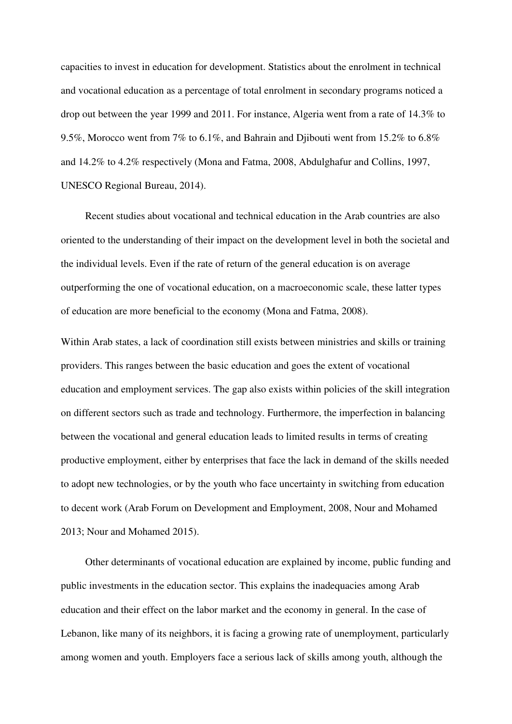capacities to invest in education for development. Statistics about the enrolment in technical and vocational education as a percentage of total enrolment in secondary programs noticed a drop out between the year 1999 and 2011. For instance, Algeria went from a rate of 14.3% to 9.5%, Morocco went from 7% to 6.1%, and Bahrain and Djibouti went from 15.2% to 6.8% and 14.2% to 4.2% respectively (Mona and Fatma, 2008, Abdulghafur and Collins, 1997, UNESCO Regional Bureau, 2014).

Recent studies about vocational and technical education in the Arab countries are also oriented to the understanding of their impact on the development level in both the societal and the individual levels. Even if the rate of return of the general education is on average outperforming the one of vocational education, on a macroeconomic scale, these latter types of education are more beneficial to the economy (Mona and Fatma, 2008).

Within Arab states, a lack of coordination still exists between ministries and skills or training providers. This ranges between the basic education and goes the extent of vocational education and employment services. The gap also exists within policies of the skill integration on different sectors such as trade and technology. Furthermore, the imperfection in balancing between the vocational and general education leads to limited results in terms of creating productive employment, either by enterprises that face the lack in demand of the skills needed to adopt new technologies, or by the youth who face uncertainty in switching from education to decent work (Arab Forum on Development and Employment, 2008, Nour and Mohamed 2013; Nour and Mohamed 2015).

Other determinants of vocational education are explained by income, public funding and public investments in the education sector. This explains the inadequacies among Arab education and their effect on the labor market and the economy in general. In the case of Lebanon, like many of its neighbors, it is facing a growing rate of unemployment, particularly among women and youth. Employers face a serious lack of skills among youth, although the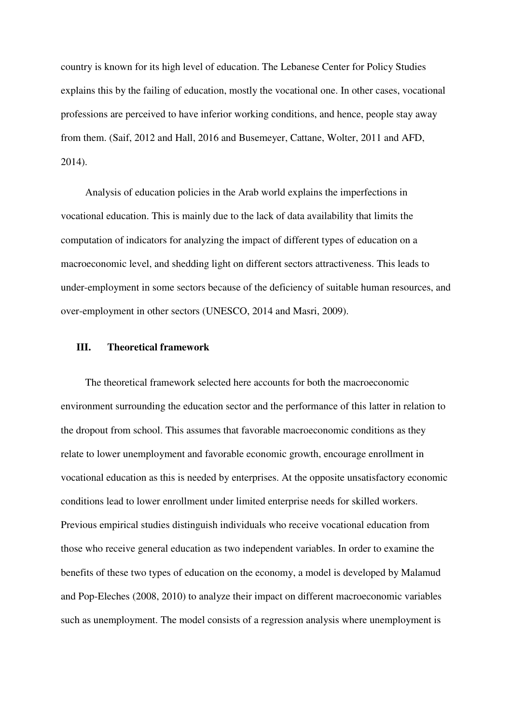country is known for its high level of education. The Lebanese Center for Policy Studies explains this by the failing of education, mostly the vocational one. In other cases, vocational professions are perceived to have inferior working conditions, and hence, people stay away from them. (Saif, 2012 and Hall, 2016 and Busemeyer, Cattane, Wolter, 2011 and AFD, 2014).

Analysis of education policies in the Arab world explains the imperfections in vocational education. This is mainly due to the lack of data availability that limits the computation of indicators for analyzing the impact of different types of education on a macroeconomic level, and shedding light on different sectors attractiveness. This leads to under-employment in some sectors because of the deficiency of suitable human resources, and over-employment in other sectors (UNESCO, 2014 and Masri, 2009).

#### **III. Theoretical framework**

The theoretical framework selected here accounts for both the macroeconomic environment surrounding the education sector and the performance of this latter in relation to the dropout from school. This assumes that favorable macroeconomic conditions as they relate to lower unemployment and favorable economic growth, encourage enrollment in vocational education as this is needed by enterprises. At the opposite unsatisfactory economic conditions lead to lower enrollment under limited enterprise needs for skilled workers. Previous empirical studies distinguish individuals who receive vocational education from those who receive general education as two independent variables. In order to examine the benefits of these two types of education on the economy, a model is developed by Malamud and Pop-Eleches (2008, 2010) to analyze their impact on different macroeconomic variables such as unemployment. The model consists of a regression analysis where unemployment is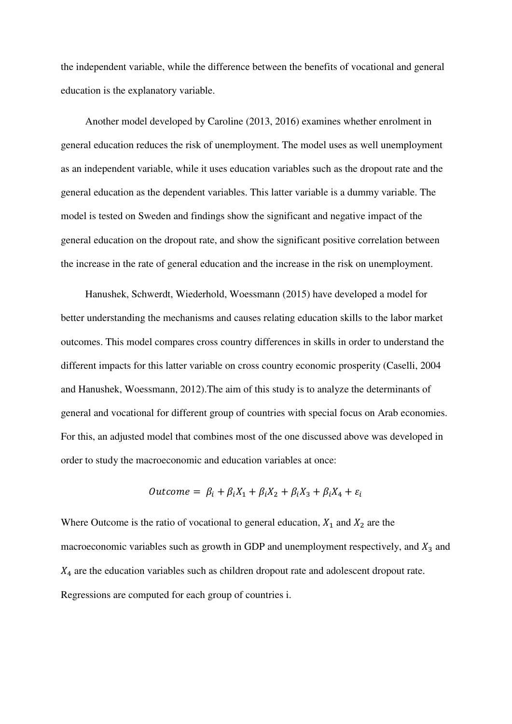the independent variable, while the difference between the benefits of vocational and general education is the explanatory variable.

Another model developed by Caroline (2013, 2016) examines whether enrolment in general education reduces the risk of unemployment. The model uses as well unemployment as an independent variable, while it uses education variables such as the dropout rate and the general education as the dependent variables. This latter variable is a dummy variable. The model is tested on Sweden and findings show the significant and negative impact of the general education on the dropout rate, and show the significant positive correlation between the increase in the rate of general education and the increase in the risk on unemployment.

Hanushek, Schwerdt, Wiederhold, Woessmann (2015) have developed a model for better understanding the mechanisms and causes relating education skills to the labor market outcomes. This model compares cross country differences in skills in order to understand the different impacts for this latter variable on cross country economic prosperity (Caselli, 2004 and Hanushek, Woessmann, 2012).The aim of this study is to analyze the determinants of general and vocational for different group of countries with special focus on Arab economies. For this, an adjusted model that combines most of the one discussed above was developed in order to study the macroeconomic and education variables at once:

$$
Outcome = \beta_i + \beta_i X_1 + \beta_i X_2 + \beta_i X_3 + \beta_i X_4 + \varepsilon_i
$$

Where Outcome is the ratio of vocational to general education,  $X_1$  and  $X_2$  are the macroeconomic variables such as growth in GDP and unemployment respectively, and  $X_3$  and  $X_4$  are the education variables such as children dropout rate and adolescent dropout rate. Regressions are computed for each group of countries i.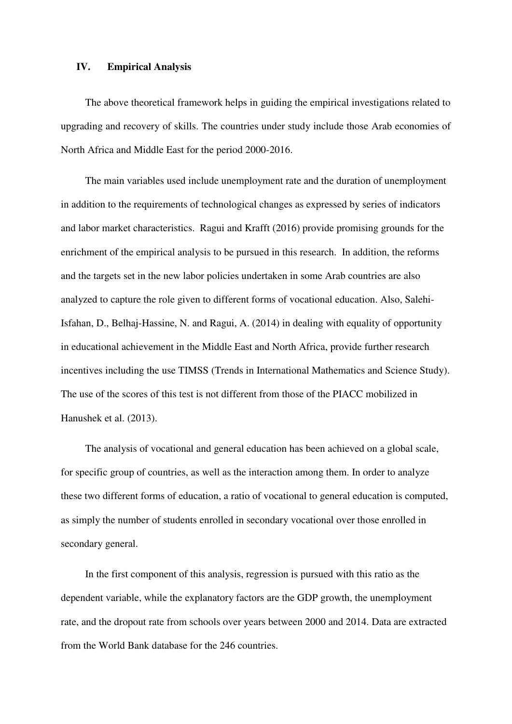### **IV. Empirical Analysis**

The above theoretical framework helps in guiding the empirical investigations related to upgrading and recovery of skills. The countries under study include those Arab economies of North Africa and Middle East for the period 2000-2016.

The main variables used include unemployment rate and the duration of unemployment in addition to the requirements of technological changes as expressed by series of indicators and labor market characteristics. Ragui and Krafft (2016) provide promising grounds for the enrichment of the empirical analysis to be pursued in this research. In addition, the reforms and the targets set in the new labor policies undertaken in some Arab countries are also analyzed to capture the role given to different forms of vocational education. Also, Salehi-Isfahan, D., Belhaj-Hassine, N. and Ragui, A. (2014) in dealing with equality of opportunity in educational achievement in the Middle East and North Africa, provide further research incentives including the use TIMSS (Trends in International Mathematics and Science Study). The use of the scores of this test is not different from those of the PIACC mobilized in Hanushek et al. (2013).

The analysis of vocational and general education has been achieved on a global scale, for specific group of countries, as well as the interaction among them. In order to analyze these two different forms of education, a ratio of vocational to general education is computed, as simply the number of students enrolled in secondary vocational over those enrolled in secondary general.

In the first component of this analysis, regression is pursued with this ratio as the dependent variable, while the explanatory factors are the GDP growth, the unemployment rate, and the dropout rate from schools over years between 2000 and 2014. Data are extracted from the World Bank database for the 246 countries.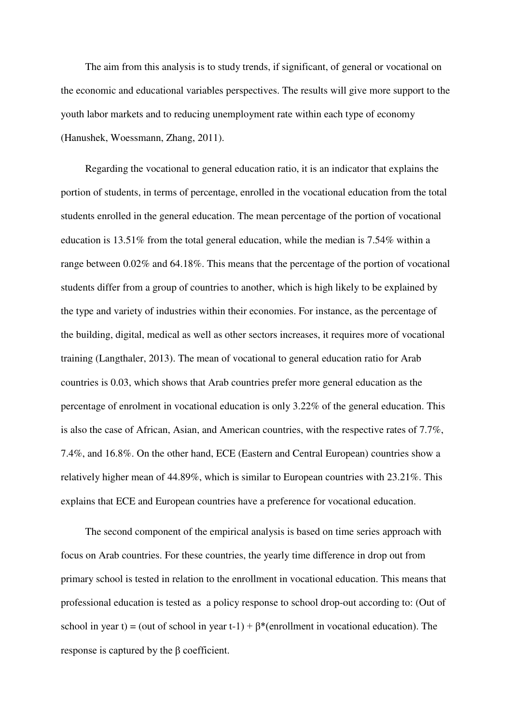The aim from this analysis is to study trends, if significant, of general or vocational on the economic and educational variables perspectives. The results will give more support to the youth labor markets and to reducing unemployment rate within each type of economy (Hanushek, Woessmann, Zhang, 2011).

Regarding the vocational to general education ratio, it is an indicator that explains the portion of students, in terms of percentage, enrolled in the vocational education from the total students enrolled in the general education. The mean percentage of the portion of vocational education is 13.51% from the total general education, while the median is 7.54% within a range between 0.02% and 64.18%. This means that the percentage of the portion of vocational students differ from a group of countries to another, which is high likely to be explained by the type and variety of industries within their economies. For instance, as the percentage of the building, digital, medical as well as other sectors increases, it requires more of vocational training (Langthaler, 2013). The mean of vocational to general education ratio for Arab countries is 0.03, which shows that Arab countries prefer more general education as the percentage of enrolment in vocational education is only 3.22% of the general education. This is also the case of African, Asian, and American countries, with the respective rates of 7.7%, 7.4%, and 16.8%. On the other hand, ECE (Eastern and Central European) countries show a relatively higher mean of 44.89%, which is similar to European countries with 23.21%. This explains that ECE and European countries have a preference for vocational education.

The second component of the empirical analysis is based on time series approach with focus on Arab countries. For these countries, the yearly time difference in drop out from primary school is tested in relation to the enrollment in vocational education. This means that professional education is tested as a policy response to school drop-out according to: (Out of school in year t) = (out of school in year t-1) +  $\beta^*$  (enrollment in vocational education). The response is captured by the β coefficient.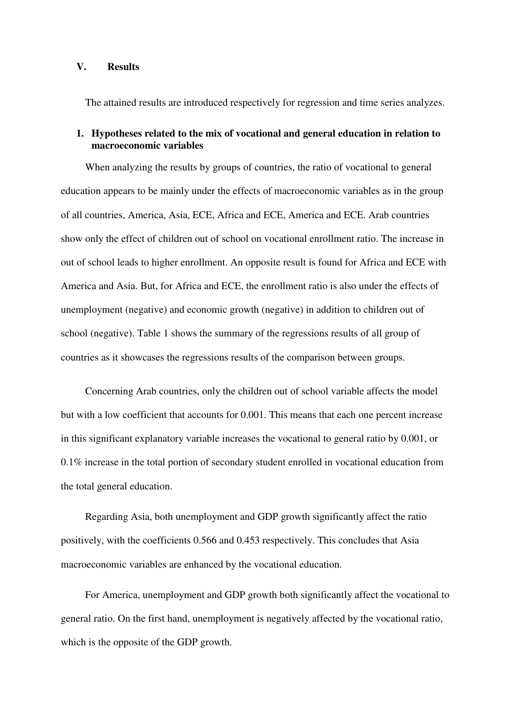#### **V. Results**

The attained results are introduced respectively for regression and time series analyzes.

## **1. Hypotheses related to the mix of vocational and general education in relation to macroeconomic variables**

When analyzing the results by groups of countries, the ratio of vocational to general education appears to be mainly under the effects of macroeconomic variables as in the group of all countries, America, Asia, ECE, Africa and ECE, America and ECE. Arab countries show only the effect of children out of school on vocational enrollment ratio. The increase in out of school leads to higher enrollment. An opposite result is found for Africa and ECE with America and Asia. But, for Africa and ECE, the enrollment ratio is also under the effects of unemployment (negative) and economic growth (negative) in addition to children out of school (negative). Table 1 shows the summary of the regressions results of all group of countries as it showcases the regressions results of the comparison between groups.

Concerning Arab countries, only the children out of school variable affects the model but with a low coefficient that accounts for 0.001. This means that each one percent increase in this significant explanatory variable increases the vocational to general ratio by 0.001, or 0.1% increase in the total portion of secondary student enrolled in vocational education from the total general education.

Regarding Asia, both unemployment and GDP growth significantly affect the ratio positively, with the coefficients 0.566 and 0.453 respectively. This concludes that Asia macroeconomic variables are enhanced by the vocational education.

For America, unemployment and GDP growth both significantly affect the vocational to general ratio. On the first hand, unemployment is negatively affected by the vocational ratio, which is the opposite of the GDP growth.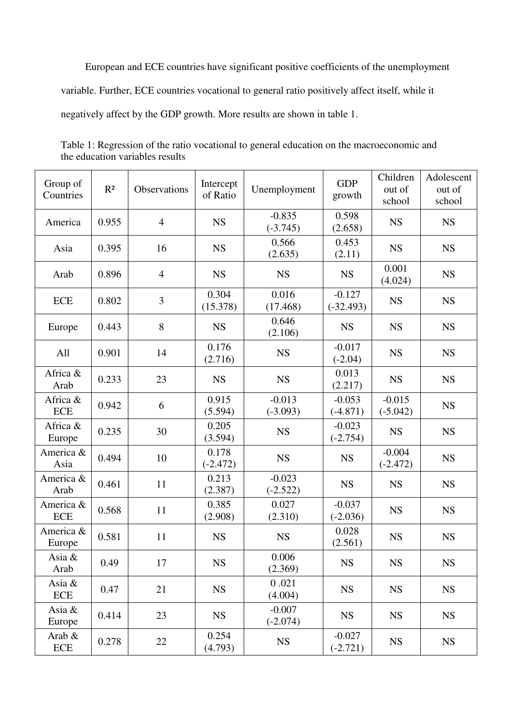European and ECE countries have significant positive coefficients of the unemployment variable. Further, ECE countries vocational to general ratio positively affect itself, while it negatively affect by the GDP growth. More results are shown in table 1.

| Group of<br>Countries   | R <sup>2</sup> | Observations   | Intercept<br>of Ratio | Unemployment           | <b>GDP</b><br>growth    | Children<br>out of<br>school | Adolescent<br>out of<br>school |
|-------------------------|----------------|----------------|-----------------------|------------------------|-------------------------|------------------------------|--------------------------------|
| America                 | 0.955          | $\overline{4}$ | <b>NS</b>             | $-0.835$<br>$(-3.745)$ | 0.598<br>(2.658)        | <b>NS</b>                    | <b>NS</b>                      |
| Asia                    | 0.395          | 16             | <b>NS</b>             | 0.566<br>(2.635)       | 0.453<br>(2.11)         | <b>NS</b>                    | <b>NS</b>                      |
| Arab                    | 0.896          | $\overline{4}$ | <b>NS</b>             | <b>NS</b>              | <b>NS</b>               | 0.001<br>(4.024)             | <b>NS</b>                      |
| <b>ECE</b>              | 0.802          | 3              | 0.304<br>(15.378)     | 0.016<br>(17.468)      | $-0.127$<br>$(-32.493)$ | <b>NS</b>                    | <b>NS</b>                      |
| Europe                  | 0.443          | 8              | <b>NS</b>             | 0.646<br>(2.106)       | <b>NS</b>               | <b>NS</b>                    | <b>NS</b>                      |
| All                     | 0.901          | 14             | 0.176<br>(2.716)      | <b>NS</b>              | $-0.017$<br>$(-2.04)$   | <b>NS</b>                    | <b>NS</b>                      |
| Africa &<br>Arab        | 0.233          | 23             | <b>NS</b>             | <b>NS</b>              | 0.013<br>(2.217)        | <b>NS</b>                    | <b>NS</b>                      |
| Africa &<br><b>ECE</b>  | 0.942          | 6              | 0.915<br>(5.594)      | $-0.013$<br>$(-3.093)$ | $-0.053$<br>$(-4.871)$  | $-0.015$<br>$(-5.042)$       | <b>NS</b>                      |
| Africa &<br>Europe      | 0.235          | 30             | 0.205<br>(3.594)      | <b>NS</b>              | $-0.023$<br>$(-2.754)$  | <b>NS</b>                    | <b>NS</b>                      |
| America &<br>Asia       | 0.494          | 10             | 0.178<br>$(-2.472)$   | <b>NS</b>              | <b>NS</b>               | $-0.004$<br>$(-2.472)$       | <b>NS</b>                      |
| America &<br>Arab       | 0.461          | 11             | 0.213<br>(2.387)      | $-0.023$<br>$(-2.522)$ | <b>NS</b>               | <b>NS</b>                    | <b>NS</b>                      |
| America &<br><b>ECE</b> | 0.568          | 11             | 0.385<br>(2.908)      | 0.027<br>(2.310)       | $-0.037$<br>$(-2.036)$  | <b>NS</b>                    | <b>NS</b>                      |
| America &<br>Europe     | 0.581          | 11             | <b>NS</b>             | <b>NS</b>              | 0.028<br>(2.561)        | <b>NS</b>                    | <b>NS</b>                      |
| Asia &<br>Arab          | 0.49           | 17             | <b>NS</b>             | 0.006<br>(2.369)       | <b>NS</b>               | <b>NS</b>                    | <b>NS</b>                      |
| Asia &<br><b>ECE</b>    | 0.47           | 21             | <b>NS</b>             | 0.021<br>(4.004)       | <b>NS</b>               | <b>NS</b>                    | <b>NS</b>                      |
| Asia &<br>Europe        | 0.414          | 23             | <b>NS</b>             | $-0.007$<br>$(-2.074)$ | <b>NS</b>               | <b>NS</b>                    | <b>NS</b>                      |
| Arab $\&$<br>ECE        | 0.278          | 22             | 0.254<br>(4.793)      | <b>NS</b>              | $-0.027$<br>$(-2.721)$  | <b>NS</b>                    | <b>NS</b>                      |

Table 1: Regression of the ratio vocational to general education on the macroeconomic and the education variables results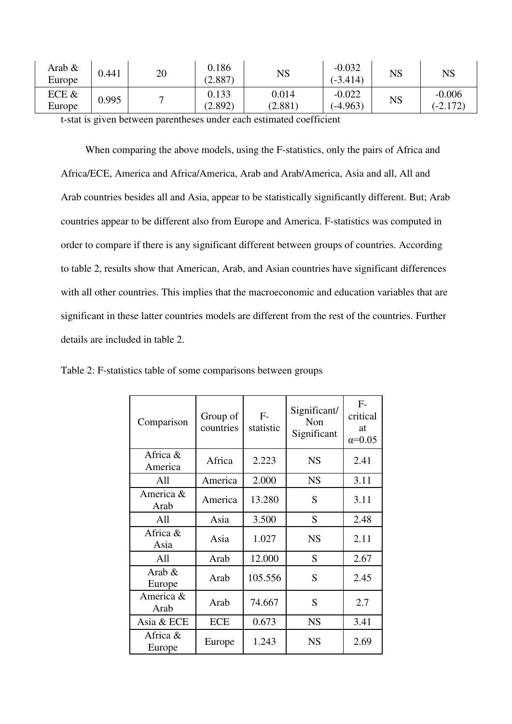| Arab &<br>Europe | 0.441 | 20 | 0.186<br>(2.887) | NS               | $-0.032$<br>$(-3.414)$ | $_{\rm NS}$ | $_{\rm NS}$            |
|------------------|-------|----|------------------|------------------|------------------------|-------------|------------------------|
| ECE &<br>Europe  | 0.995 |    | 0.133<br>(2.892) | 0.014<br>(2.881) | $-0.022$<br>$(-4.963)$ | NS          | $-0.006$<br>$(-2.172)$ |

t-stat is given between parentheses under each estimated coefficient

When comparing the above models, using the F-statistics, only the pairs of Africa and Africa/ECE, America and Africa/America, Arab and Arab/America, Asia and all, All and Arab countries besides all and Asia, appear to be statistically significantly different. But; Arab countries appear to be different also from Europe and America. F-statistics was computed in order to compare if there is any significant different between groups of countries. According to table 2, results show that American, Arab, and Asian countries have significant differences with all other countries. This implies that the macroeconomic and education variables that are significant in these latter countries models are different from the rest of the countries. Further details are included in table 2.

| Comparison          | Group of<br>countries | $F-$<br>statistic | Significant/<br>Non<br>Significant | $F-$<br>critical<br>at<br>$\alpha = 0.05$ |
|---------------------|-----------------------|-------------------|------------------------------------|-------------------------------------------|
| Africa &<br>America | Africa                | 2.223             | <b>NS</b>                          | 2.41                                      |
| All                 | America               | 2.000             | <b>NS</b>                          | 3.11                                      |
| America &<br>Arab   | America               | 13.280            | S                                  | 3.11                                      |
| All                 | Asia                  | 3.500             | S                                  | 2.48                                      |
| Africa &<br>Asia    | Asia                  | 1.027             | <b>NS</b>                          | 2.11                                      |
| All                 | Arab                  | 12.000            | S                                  | 2.67                                      |
| Arab $\&$<br>Europe | Arab                  | 105.556           | S                                  | 2.45                                      |
| America &<br>Arab   | Arab                  | 74.667            | S                                  | 2.7                                       |
| Asia & ECE          | <b>ECE</b>            | 0.673             | <b>NS</b>                          | 3.41                                      |
| Africa &<br>Europe  | Europe                | 1.243             | <b>NS</b>                          | 2.69                                      |

Table 2: F-statistics table of some comparisons between groups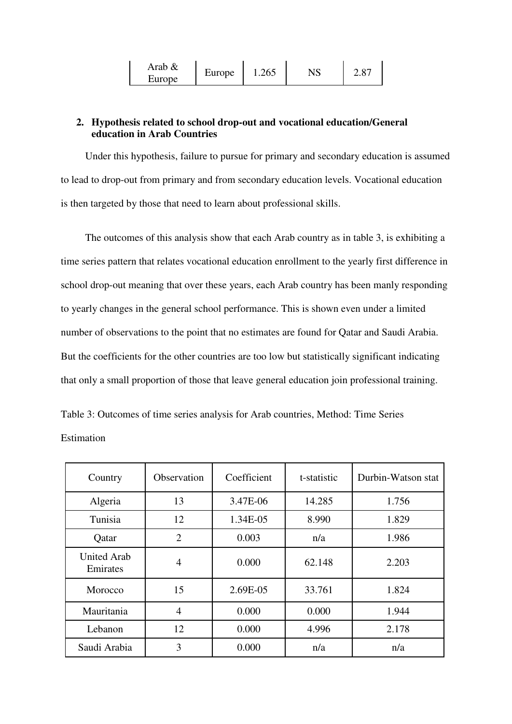| Arab & | Europe | 1.265 | NS | O <sub>7</sub><br>۵.٥ |
|--------|--------|-------|----|-----------------------|
| Europe |        |       |    |                       |

# **2. Hypothesis related to school drop-out and vocational education/General education in Arab Countries**

Under this hypothesis, failure to pursue for primary and secondary education is assumed to lead to drop-out from primary and from secondary education levels. Vocational education is then targeted by those that need to learn about professional skills.

The outcomes of this analysis show that each Arab country as in table 3, is exhibiting a time series pattern that relates vocational education enrollment to the yearly first difference in school drop-out meaning that over these years, each Arab country has been manly responding to yearly changes in the general school performance. This is shown even under a limited number of observations to the point that no estimates are found for Qatar and Saudi Arabia. But the coefficients for the other countries are too low but statistically significant indicating that only a small proportion of those that leave general education join professional training.

Table 3: Outcomes of time series analysis for Arab countries, Method: Time Series Estimation

| Country                        | Observation    | Coefficient | t-statistic | Durbin-Watson stat |
|--------------------------------|----------------|-------------|-------------|--------------------|
| Algeria                        | 13             | 3.47E-06    | 14.285      | 1.756              |
| Tunisia                        | 12             | 1.34E-05    | 8.990       | 1.829              |
| Qatar                          | $\overline{2}$ | 0.003       | n/a         | 1.986              |
| <b>United Arab</b><br>Emirates | $\overline{4}$ | 0.000       | 62.148      | 2.203              |
| Morocco                        | 15             | 2.69E-05    | 33.761      | 1.824              |
| Mauritania                     | $\overline{4}$ | 0.000       | 0.000       | 1.944              |
| Lebanon                        | 12             | 0.000       | 4.996       | 2.178              |
| Saudi Arabia                   | 3              | 0.000       | n/a         | n/a                |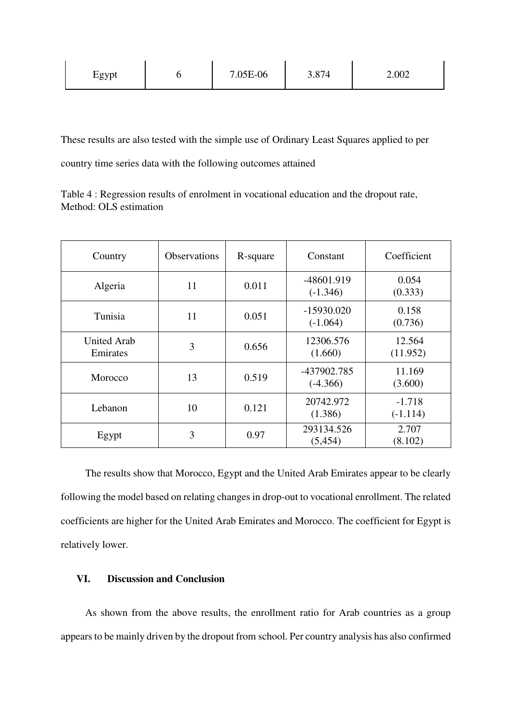| !gvnt<br>-<br>ັ້ |  | 7.05E-06 | $\Omega$<br><br>$\overline{\phantom{a}}$<br>-<br><u>J.VI</u> | $2.00^\circ$<br>2.002 |
|------------------|--|----------|--------------------------------------------------------------|-----------------------|
|------------------|--|----------|--------------------------------------------------------------|-----------------------|

These results are also tested with the simple use of Ordinary Least Squares applied to per country time series data with the following outcomes attained

Table 4 : Regression results of enrolment in vocational education and the dropout rate, Method: OLS estimation

| Country                        | <b>Observations</b> | R-square | Constant                   | Coefficient            |
|--------------------------------|---------------------|----------|----------------------------|------------------------|
| Algeria                        | 11                  | 0.011    | -48601.919<br>$(-1.346)$   | 0.054<br>(0.333)       |
| Tunisia                        | 11                  | 0.051    | $-15930.020$<br>$(-1.064)$ | 0.158<br>(0.736)       |
| <b>United Arab</b><br>Emirates | 3                   | 0.656    | 12306.576<br>(1.660)       | 12.564<br>(11.952)     |
| Morocco                        | 13                  | 0.519    | -437902.785<br>$(-4.366)$  | 11.169<br>(3.600)      |
| Lebanon                        | 10                  | 0.121    | 20742.972<br>(1.386)       | $-1.718$<br>$(-1.114)$ |
| Egypt                          | 3                   | 0.97     | 293134.526<br>(5, 454)     | 2.707<br>(8.102)       |

The results show that Morocco, Egypt and the United Arab Emirates appear to be clearly following the model based on relating changes in drop-out to vocational enrollment. The related coefficients are higher for the United Arab Emirates and Morocco. The coefficient for Egypt is relatively lower.

# **VI. Discussion and Conclusion**

As shown from the above results, the enrollment ratio for Arab countries as a group appears to be mainly driven by the dropout from school. Per country analysis has also confirmed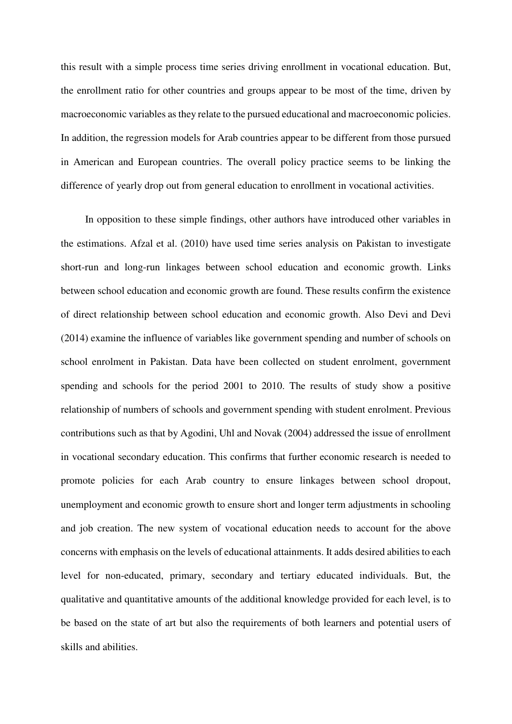this result with a simple process time series driving enrollment in vocational education. But, the enrollment ratio for other countries and groups appear to be most of the time, driven by macroeconomic variables as they relate to the pursued educational and macroeconomic policies. In addition, the regression models for Arab countries appear to be different from those pursued in American and European countries. The overall policy practice seems to be linking the difference of yearly drop out from general education to enrollment in vocational activities.

In opposition to these simple findings, other authors have introduced other variables in the estimations. Afzal et al. (2010) have used time series analysis on Pakistan to investigate short-run and long-run linkages between school education and economic growth. Links between school education and economic growth are found. These results confirm the existence of direct relationship between school education and economic growth. Also Devi and Devi (2014) examine the influence of variables like government spending and number of schools on school enrolment in Pakistan. Data have been collected on student enrolment, government spending and schools for the period 2001 to 2010. The results of study show a positive relationship of numbers of schools and government spending with student enrolment. Previous contributions such as that by Agodini, Uhl and Novak (2004) addressed the issue of enrollment in vocational secondary education. This confirms that further economic research is needed to promote policies for each Arab country to ensure linkages between school dropout, unemployment and economic growth to ensure short and longer term adjustments in schooling and job creation. The new system of vocational education needs to account for the above concerns with emphasis on the levels of educational attainments. It adds desired abilities to each level for non-educated, primary, secondary and tertiary educated individuals. But, the qualitative and quantitative amounts of the additional knowledge provided for each level, is to be based on the state of art but also the requirements of both learners and potential users of skills and abilities.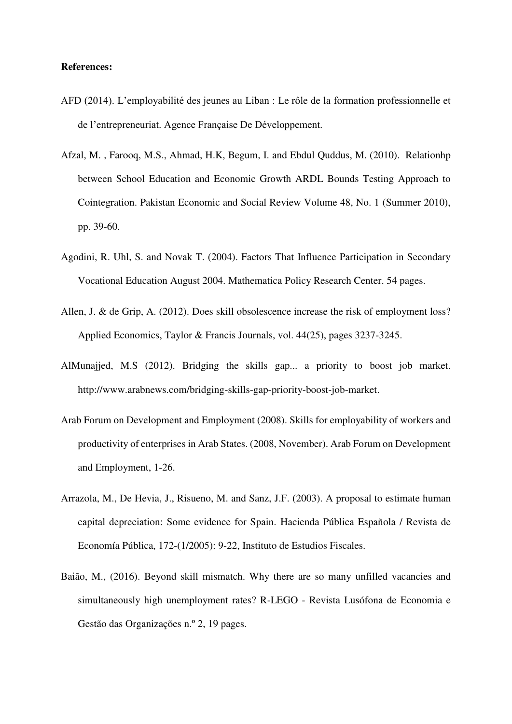#### **References:**

- AFD (2014). L'employabilité des jeunes au Liban : Le rôle de la formation professionnelle et de l'entrepreneuriat. Agence Française De Développement.
- Afzal, M. , Farooq, M.S., Ahmad, H.K, Begum, I. and Ebdul Quddus, M. (2010). Relationhp between School Education and Economic Growth ARDL Bounds Testing Approach to Cointegration. Pakistan Economic and Social Review Volume 48, No. 1 (Summer 2010), pp. 39-60.
- Agodini, R. Uhl, S. and Novak T. (2004). Factors That Influence Participation in Secondary Vocational Education August 2004. Mathematica Policy Research Center. 54 pages.
- Allen, J. & de Grip, A. (2012). Does skill obsolescence increase the risk of employment loss? Applied Economics, Taylor & Francis Journals, vol. 44(25), pages 3237-3245.
- AlMunajjed, M.S (2012). [Bridging the skills gap... a priority to boost job market.](http://www.arabnews.com/bridging-skills-gap-priority-boost-job-market) [http://www.arabnews.com/bridging-skills-gap-priority-boost-job-market.](http://www.arabnews.com/bridging-skills-gap-priority-boost-job-market)
- Arab Forum on Development and Employment (2008). Skills for employability of workers and productivity of enterprises in Arab States. (2008, November). Arab Forum on Development and Employment, 1-26.
- Arrazola, M., De Hevia, J., Risueno, M. and Sanz, J.F. (2003). A proposal to estimate human capital depreciation: Some evidence for Spain. Hacienda Pública Española / Revista de Economía Pública, 172-(1/2005): 9-22, Instituto de Estudios Fiscales.
- Baião, M., (2016). Beyond skill mismatch. Why there are so many unfilled vacancies and simultaneously high unemployment rates? R-LEGO - Revista Lusófona de Economia e Gestão das Organizações n.º 2, 19 pages.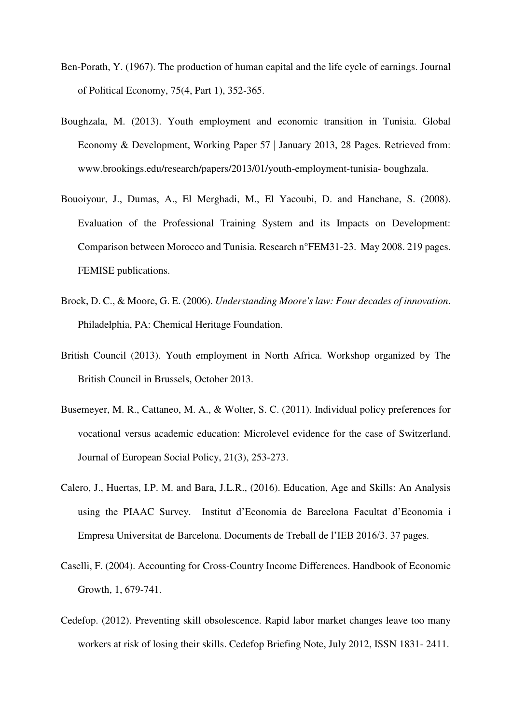- Ben-Porath, Y. (1967). The production of human capital and the life cycle of earnings. Journal of Political Economy, 75(4, Part 1), 352-365.
- Boughzala, M. (2013). Youth employment and economic transition in Tunisia. Global Economy & Development, Working Paper 57 | January 2013, 28 Pages. Retrieved from: www.brookings.edu/research/papers/2013/01/youth-employment-tunisia- boughzala.
- Bouoiyour, J., Dumas, A., El Merghadi, M., El Yacoubi, D. and Hanchane, S. (2008). Evaluation of the Professional Training System and its Impacts on Development: Comparison between Morocco and Tunisia. Research n°FEM31-23. May 2008. 219 pages. FEMISE publications.
- Brock, D. C., & Moore, G. E. (2006). *Understanding Moore's law: Four decades of innovation*. Philadelphia, PA: Chemical Heritage Foundation.
- British Council (2013). Youth employment in North Africa. Workshop organized by The British Council in Brussels, October 2013.
- Busemeyer, M. R., Cattaneo, M. A., & Wolter, S. C. (2011). Individual policy preferences for vocational versus academic education: Microlevel evidence for the case of Switzerland. Journal of European Social Policy, 21(3), 253-273.
- Calero, J., Huertas, I.P. M. and Bara, J.L.R., (2016). Education, Age and Skills: An Analysis using the PIAAC Survey. Institut d'Economia de Barcelona Facultat d'Economia i Empresa Universitat de Barcelona. Documents de Treball de l'IEB 2016/3. 37 pages.
- Caselli, F. (2004). Accounting for Cross-Country Income Differences. Handbook of Economic Growth, 1, 679-741.
- Cedefop. (2012). Preventing skill obsolescence. Rapid labor market changes leave too many workers at risk of losing their skills. Cedefop Briefing Note, July 2012, ISSN 1831- 2411.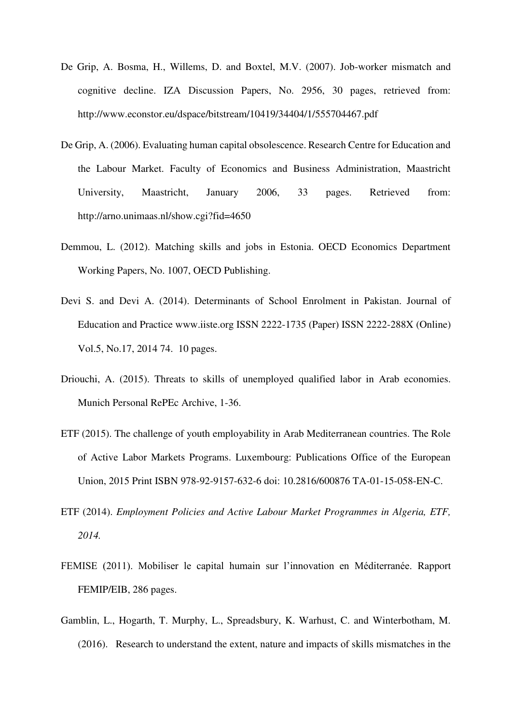- De Grip, A. Bosma, H., Willems, D. and Boxtel, M.V. (2007). Job-worker mismatch and cognitive decline. IZA Discussion Papers, No. 2956, 30 pages, retrieved from: <http://www.econstor.eu/dspace/bitstream/10419/34404/1/555704467.pdf>
- De Grip, A. (2006). Evaluating human capital obsolescence. Research Centre for Education and the Labour Market. Faculty of Economics and Business Administration, Maastricht University, Maastricht, January 2006, 33 pages. Retrieved from: <http://arno.unimaas.nl/show.cgi?fid=4650>
- Demmou, L. (2012). Matching skills and jobs in Estonia. OECD Economics Department Working Papers, No. 1007, OECD Publishing.
- Devi S. and Devi A. (2014). Determinants of School Enrolment in Pakistan. Journal of Education and Practice www.iiste.org ISSN 2222-1735 (Paper) ISSN 2222-288X (Online) Vol.5, No.17, 2014 74. 10 pages.
- Driouchi, A. (2015). Threats to skills of unemployed qualified labor in Arab economies. Munich Personal RePEc Archive, 1-36.
- ETF (2015). The challenge of youth employability in Arab Mediterranean countries. The Role of Active Labor Markets Programs. Luxembourg: Publications Office of the European Union, 2015 Print ISBN 978-92-9157-632-6 doi: 10.2816/600876 TA-01-15-058-EN-C.
- ETF (2014). *Employment Policies and Active Labour Market Programmes in Algeria, ETF, 2014.*
- FEMISE (2011). Mobiliser le capital humain sur l'innovation en Méditerranée. Rapport FEMIP/EIB, 286 pages.
- Gamblin, L., Hogarth, T. Murphy, L., Spreadsbury, K. Warhust, C. and Winterbotham, M. (2016). Research to understand the extent, nature and impacts of skills mismatches in the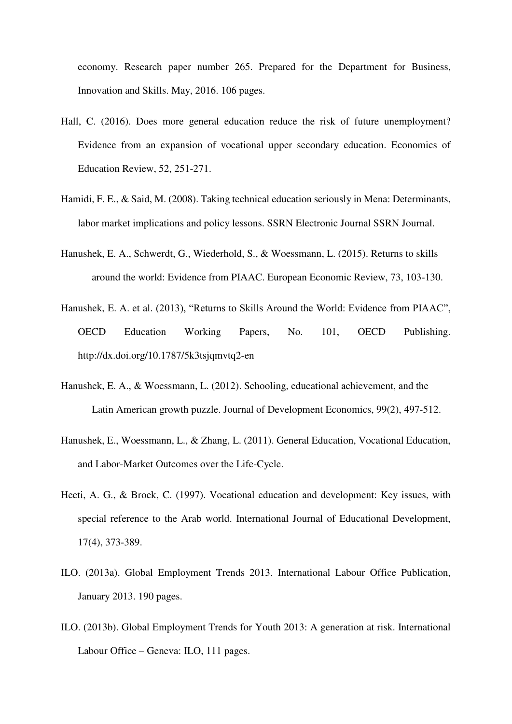economy. Research paper number 265. Prepared for the Department for Business, Innovation and Skills. May, 2016. 106 pages.

- Hall, C. (2016). Does more general education reduce the risk of future unemployment? Evidence from an expansion of vocational upper secondary education. Economics of Education Review, 52, 251-271.
- Hamidi, F. E., & Said, M. (2008). Taking technical education seriously in Mena: Determinants, labor market implications and policy lessons. SSRN Electronic Journal SSRN Journal.
- Hanushek, E. A., Schwerdt, G., Wiederhold, S., & Woessmann, L. (2015). Returns to skills around the world: Evidence from PIAAC. European Economic Review, 73, 103-130.
- Hanushek, E. A. et al. (2013), "Returns to Skills Around the World: Evidence from PIAAC", OECD Education Working Papers, No. 101, OECD Publishing. <http://dx.doi.org/10.1787/5k3tsjqmvtq2-en>
- Hanushek, E. A., & Woessmann, L. (2012). Schooling, educational achievement, and the Latin American growth puzzle. Journal of Development Economics, 99(2), 497-512.
- Hanushek, E., Woessmann, L., & Zhang, L. (2011). General Education, Vocational Education, and Labor-Market Outcomes over the Life-Cycle.
- Heeti, A. G., & Brock, C. (1997). Vocational education and development: Key issues, with special reference to the Arab world. International Journal of Educational Development, 17(4), 373-389.
- ILO. (2013a). Global Employment Trends 2013. International Labour Office Publication, January 2013. 190 pages.
- ILO. (2013b). Global Employment Trends for Youth 2013: A generation at risk. International Labour Office – Geneva: ILO, 111 pages.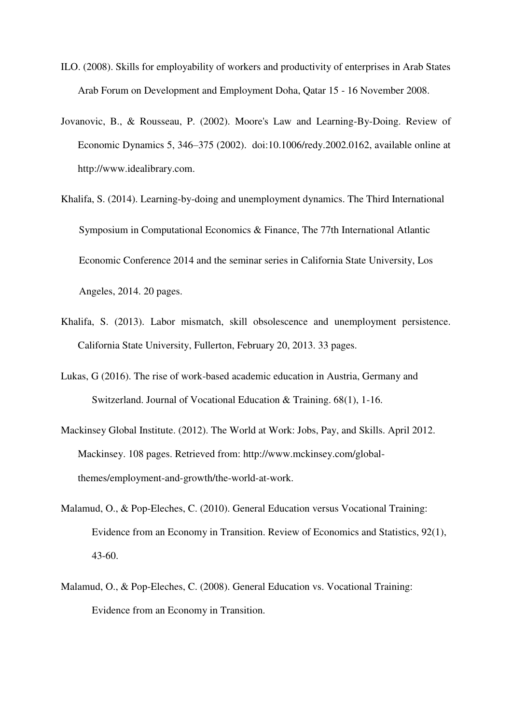- ILO. (2008). Skills for employability of workers and productivity of enterprises in Arab States Arab Forum on Development and Employment Doha, Qatar 15 - 16 November 2008.
- Jovanovic, B., & Rousseau, P. (2002). Moore's Law and Learning-By-Doing. Review of Economic Dynamics 5, 346–375 (2002). doi:10.1006/redy.2002.0162, available online at http://www.idealibrary.com.
- Khalifa, S. (2014). Learning-by-doing and unemployment dynamics. The Third International Symposium in Computational Economics & Finance, The 77th International Atlantic Economic Conference 2014 and the seminar series in California State University, Los Angeles, 2014. 20 pages.
- Khalifa, S. (2013). Labor mismatch, skill obsolescence and unemployment persistence. California State University, Fullerton, February 20, 2013. 33 pages.
- Lukas, G (2016). The rise of work-based academic education in Austria, Germany and Switzerland. Journal of Vocational Education & Training. 68(1), 1-16.
- Mackinsey Global Institute. (2012). The World at Work: Jobs, Pay, and Skills. April 2012. Mackinsey. 108 pages. Retrieved from: [http://www.mckinsey.com/global](http://www.mckinsey.com/global-themes/employment-and-growth/the-world-at-work)[themes/employment-and-growth/the-world-at-work.](http://www.mckinsey.com/global-themes/employment-and-growth/the-world-at-work)
- Malamud, O., & Pop-Eleches, C. (2010). General Education versus Vocational Training: Evidence from an Economy in Transition. Review of Economics and Statistics, 92(1), 43-60.
- Malamud, O., & Pop-Eleches, C. (2008). General Education vs. Vocational Training: Evidence from an Economy in Transition.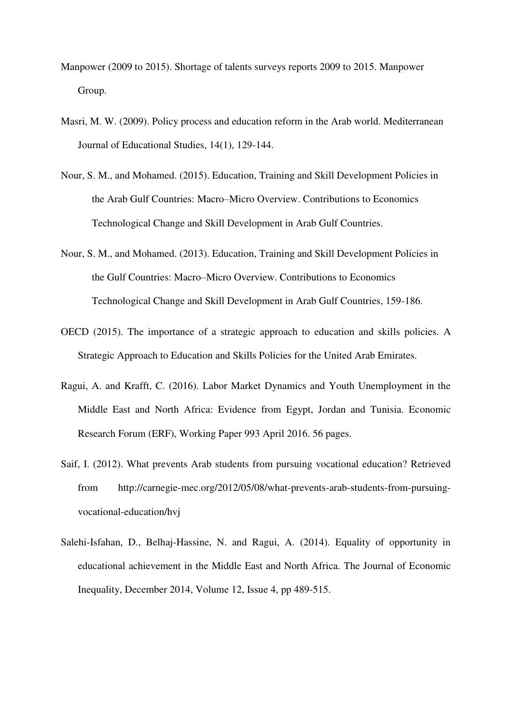- Manpower (2009 to 2015). Shortage of talents surveys reports 2009 to 2015. Manpower Group.
- Masri, M. W. (2009). Policy process and education reform in the Arab world. Mediterranean Journal of Educational Studies, 14(1), 129-144.
- Nour, S. M., and Mohamed. (2015). Education, Training and Skill Development Policies in the Arab Gulf Countries: Macro–Micro Overview. Contributions to Economics Technological Change and Skill Development in Arab Gulf Countries.
- Nour, S. M., and Mohamed. (2013). Education, Training and Skill Development Policies in the Gulf Countries: Macro–Micro Overview. Contributions to Economics Technological Change and Skill Development in Arab Gulf Countries, 159-186.
- OECD (2015). The importance of a strategic approach to education and skills policies. A Strategic Approach to Education and Skills Policies for the United Arab Emirates.
- Ragui, A. and Krafft, C. (2016). Labor Market Dynamics and Youth Unemployment in the Middle East and North Africa: Evidence from Egypt, Jordan and Tunisia. Economic Research Forum (ERF), Working Paper 993 April 2016. 56 pages.
- Saif, I. (2012). What prevents Arab students from pursuing vocational education? Retrieved from http://carnegie-mec.org/2012/05/08/what-prevents-arab-students-from-pursuingvocational-education/hvj
- Salehi-Isfahan, D., Belhaj-Hassine, N. and Ragui, A. (2014). Equality of opportunity in educational achievement in the Middle East and North Africa. [The Journal of Economic](http://link.springer.com/journal/10888)  [Inequality,](http://link.springer.com/journal/10888) December 2014, Volume 12, [Issue 4,](http://link.springer.com/journal/10888/12/4/page/1) pp 489-515.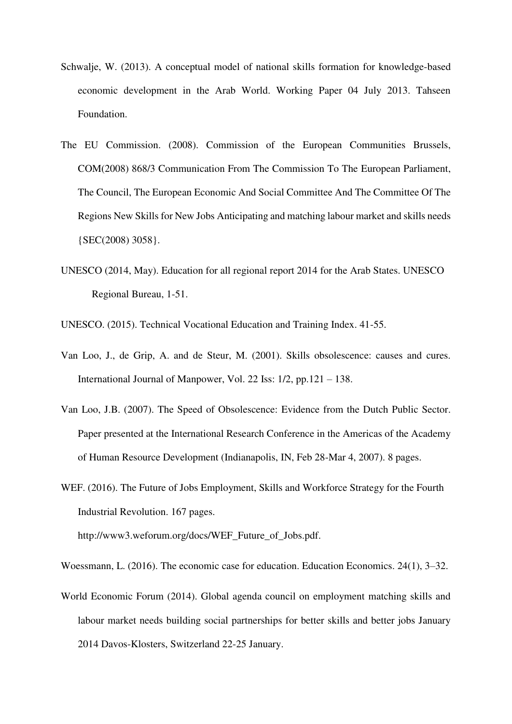- Schwalje, W. (2013). A conceptual model of national skills formation for knowledge-based economic development in the Arab World. Working Paper 04 July 2013. Tahseen Foundation.
- The EU Commission. (2008). Commission of the European Communities Brussels, COM(2008) 868/3 Communication From The Commission To The European Parliament, The Council, The European Economic And Social Committee And The Committee Of The Regions New Skills for New Jobs Anticipating and matching labour market and skills needs {SEC(2008) 3058}.
- UNESCO (2014, May). Education for all regional report 2014 for the Arab States. UNESCO Regional Bureau, 1-51.

UNESCO. (2015). Technical Vocational Education and Training Index. 41-55.

- Van Loo, J., de Grip, A. and de Steur, M. (2001). Skills obsolescence: causes and cures. International Journal of Manpower, Vol. 22 Iss: 1/2, pp.121 – 138.
- Van Loo, J.B. (2007). The Speed of Obsolescence: Evidence from the Dutch Public Sector. Paper presented at the International Research Conference in the Americas of the Academy of Human Resource Development (Indianapolis, IN, Feb 28-Mar 4, 2007). 8 pages.
- WEF. (2016). The Future of Jobs Employment, Skills and Workforce Strategy for the Fourth Industrial Revolution. 167 pages.

[http://www3.weforum.org/docs/WEF\\_Future\\_of\\_Jobs.pdf.](http://www3.weforum.org/docs/WEF_Future_of_Jobs.pdf)

Woessmann, L. (2016). The economic case for education. Education Economics. 24(1), 3–32.

World Economic Forum (2014). Global agenda council on employment matching skills and labour market needs building social partnerships for better skills and better jobs January 2014 Davos-Klosters, Switzerland 22-25 January.